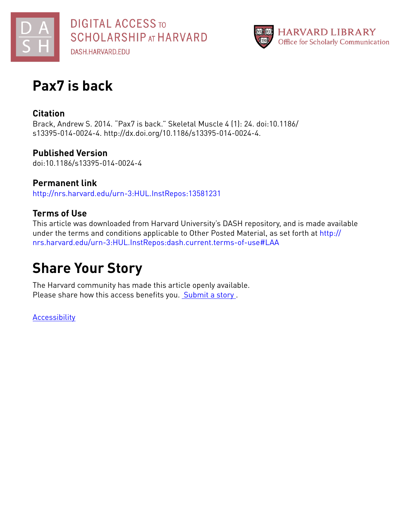



# **Pax7 is back**

### **Citation**

Brack, Andrew S. 2014. "Pax7 is back." Skeletal Muscle 4 (1): 24. doi:10.1186/ s13395-014-0024-4. http://dx.doi.org/10.1186/s13395-014-0024-4.

**Published Version** doi:10.1186/s13395-014-0024-4

**Permanent link** <http://nrs.harvard.edu/urn-3:HUL.InstRepos:13581231>

## **Terms of Use**

This article was downloaded from Harvard University's DASH repository, and is made available under the terms and conditions applicable to Other Posted Material, as set forth at [http://](http://nrs.harvard.edu/urn-3:HUL.InstRepos:dash.current.terms-of-use#LAA) [nrs.harvard.edu/urn-3:HUL.InstRepos:dash.current.terms-of-use#LAA](http://nrs.harvard.edu/urn-3:HUL.InstRepos:dash.current.terms-of-use#LAA)

# **Share Your Story**

The Harvard community has made this article openly available. Please share how this access benefits you. **[Submit](http://osc.hul.harvard.edu/dash/open-access-feedback?handle=&title=Pax7%20is%20back&community=1/4454685&collection=1/4454686&owningCollection1/4454686&harvardAuthors=46819defd66c6c87fd7231aa96f54954&department) a story**.

**[Accessibility](https://dash.harvard.edu/pages/accessibility)**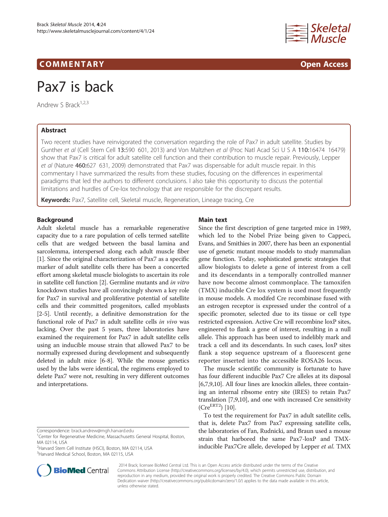### COMM EN TARY Open Access



# Pax7 is back

Andrew S Brack<sup>1,2,3</sup>

### Abstract

Two recent studies have reinvigorated the conversation regarding the role of Pax7 in adult satellite. Studies by Gunther et al (Cell Stem Cell 13:590 601, 2013) and Von Maltzhen et al (Proc Natl Acad Sci U S A 110:16474 16479) show that Pax7 is critical for adult satellite cell function and their contribution to muscle repair. Previously, Lepper et al (Nature 460:627 631, 2009) demonstrated that Pax7 was dispensable for adult muscle repair. In this commentary I have summarized the results from these studies, focusing on the differences in experimental paradigms that led the authors to different conclusions. I also take this opportunity to discuss the potential limitations and hurdles of Cre-lox technology that are responsible for the discrepant results.

Keywords: Pax7, Satellite cell, Skeletal muscle, Regeneration, Lineage tracing, Cre

#### Background

Adult skeletal muscle has a remarkable regenerative capacity due to a rare population of cells termed satellite cells that are wedged between the basal lamina and sarcolemma, interspersed along each adult muscle fiber [[1\]](#page-5-0). Since the original characterization of Pax7 as a specific marker of adult satellite cells there has been a concerted effort among skeletal muscle biologists to ascertain its role in satellite cell function [[2](#page-5-0)]. Germline mutants and in vitro knockdown studies have all convincingly shown a key role for Pax7 in survival and proliferative potential of satellite cells and their committed progenitors, called myoblasts [[2-5\]](#page-5-0). Until recently, a definitive demonstration for the functional role of Pax7 in adult satellite cells in vivo was lacking. Over the past 5 years, three laboratories have examined the requirement for Pax7 in adult satellite cells using an inducible mouse strain that allowed Pax7 to be normally expressed during development and subsequently deleted in adult mice [\[6](#page-5-0)-[8](#page-5-0)]. While the mouse genetics used by the labs were identical, the regimens employed to delete Pax7 were not, resulting in very different outcomes and interpretations.

2 Harvard Stem Cell Institute (HSCI), Boston, MA 02114, USA <sup>3</sup>Harvard Medical School, Boston, MA 02115, USA



#### Main text

Since the first description of gene targeted mice in 1989, which led to the Nobel Prize being given to Cappeci, Evans, and Smithies in 2007, there has been an exponential use of genetic mutant mouse models to study mammalian gene function. Today, sophisticated genetic strategies that allow biologists to delete a gene of interest from a cell and its descendants in a temporally controlled manner have now become almost commonplace. The tamoxifen (TMX) inducible Cre lox system is used most frequently in mouse models. A modifed Cre recombinase fused with an estrogen receptor is expressed under the control of a specific promoter, selected due to its tissue or cell type restricted expression. Active Cre will recombine loxP sites, engineered to flank a gene of interest, resulting in a null allele. This approach has been used to indelibly mark and track a cell and its descendants. In such cases, loxP sites flank a stop sequence upstream of a fluorescent gene reporter inserted into the accessible ROSA26 locus.

The muscle scientific community is fortunate to have has four different inducible Pax7 Cre alleles at its disposal [[6,7,9,10](#page-5-0)]. All four lines are knockin alleles, three containing an internal ribsome entry site (IRES) to retain Pax7 translation [[7,9,10\]](#page-5-0), and one with increased Cre sensitivity  $(Cre^{ERT2})$  [[10](#page-5-0)].

To test the requirement for Pax7 in adult satellite cells, that is, delete Pax7 from Pax7 expressing satellite cells, the laboratories of Fan, Rudnicki, and Braun used a mouse strain that harbored the same Pax7-loxP and TMXinducible Pax7Cre allele, developed by Lepper et al. TMX

? 2014 Brack; licensee BioMed Central Ltd. This is an Open Access article distributed under the terms of the Creative Commons Attribution License [\(http://creativecommons.org/licenses/by/4.0\)](http://creativecommons.org/licenses/by/4.0), which permits unrestricted use, distribution, and reproduction in any medium, provided the original work is properly credited. The Creative Commons Public Domain Dedication waiver [\(http://creativecommons.org/publicdomain/zero/1.0/](http://creativecommons.org/publicdomain/zero/1.0/)) applies to the data made available in this article, unless otherwise stated.

Correspondence: [brack.andrew@mgh.harvard.edu](mailto:brack.andrew@mgh.harvard.edu) <sup>1</sup>

<sup>&</sup>lt;sup>1</sup> Center for Regenerative Medicine, Massachusetts General Hospital, Boston, MA 02114, USA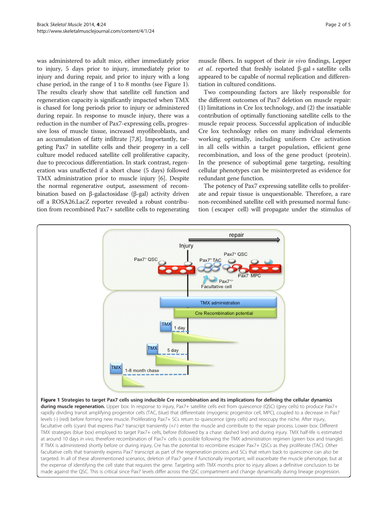<span id="page-2-0"></span>was administered to adult mice, either immediately prior to injury, 5 days prior to injury, immediately prior to injury and during repair, and prior to injury with a long chase period, in the range of 1 to 8 months (see Figure 1). The results clearly show that satellite cell function and regeneration capacity is significantly impacted when TMX is chased for long periods prior to injury or administered during repair. In response to muscle injury, there was a reduction in the number of Pax7-expressing cells, progressive loss of muscle tissue, increased myofibroblasts, and an accumulation of fatty infiltrate [\[7,8\]](#page-5-0). Importantly, targeting Pax7 in satellite cells and their progeny in a cell culture model reduced satellite cell proliferative capacity, due to precocious differentiation. In stark contrast, regeneration was unaffected if a short chase (5 days) followed TMX administration prior to muscle injury [\[6\]](#page-5-0). Despite the normal regenerative output, assessment of recombination based on β-galactosidase (β-gal) activity driven off a ROSA26.LacZ reporter revealed a robust contribution from recombined Pax7+ satellite cells to regenerating muscle fibers. In support of their *in vivo* findings, Lepper et al. reported that freshly isolated  $β$ -gal + satellite cells appeared to be capable of normal replication and differentiation in cultured conditions.

Two compounding factors are likely responsible for the different outcomes of Pax7 deletion on muscle repair: (1) limitations in Cre lox technology, and (2) the insatiable contribution of optimally functioning satellite cells to the muscle repair process. Successful application of inducible Cre lox technology relies on many individual elements working optimally, including uniform Cre activation in all cells within a target population, efficient gene recombination, and loss of the gene product (protein). In the presence of suboptimal gene targeting, resulting cellular phenotypes can be misinterpreted as evidence for redundant gene function.

The potency of Pax7 expressing satellite cells to proliferate and repair tissue is unquestionable. Therefore, a rare non-recombined satellite cell with presumed normal function ( escaper cell) will propagate under the stimulus of



Figure 1 Strategies to target Pax7 cells using inducible Cre recombination and its implications for defining the cellular dynamics during muscle regeneration. Upper box: In response to injury, Pax7+ satellite cells exit from quiescence (QSC) (grey cells) to produce Pax7+ rapidly dividing transit amplifying progenitor cells (TAC, blue) that differentiate (myogenic progenitor cell, MPC), coupled to a decrease in Pax7 levels (-) (red) before forming new muscle. Proliferating Pax7+ SCs return to quiescence (grey cells) and reoccupy the niche. After injury, facultative cells (cyan) that express Pax7 transcript transiently (+/-) enter the muscle and contribute to the repair process. Lower box: Different TMX strategies (blue box) employed to target Pax7+ cells, before (followed by a chase: dashed line) and during injury. TMX half-life is estimated at around 10 days in vivo, therefore recombination of Pax7+ cells is possible following the TMX administration regimen (green box and triangle). If TMX is administered shortly before or during injury, Cre has the potential to recombine escaper Pax7+ QSCs as they proliferate (TAC). Other facultative cells that transiently express Pax7 transcript as part of the regeneration process and SCs that return back to quiescence can also be targeted. In all of these aforementioned scenarios, deletion of Pax7 gene if functionally important, will exacerbate the muscle phenotype, but at the expense of identifying the cell state that requires the gene. Targeting with TMX months prior to injury allows a definitive conclusion to be made against the QSC. This is critical since Pax7 levels differ across the QSC compartment and change dynamically during lineage progression.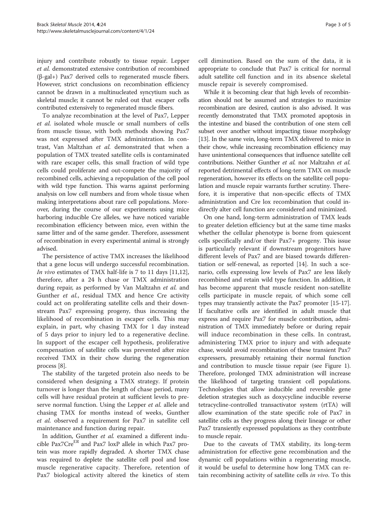injury and contribute robustly to tissue repair. Lepper et al. demonstrated extensive contribution of recombined (β-gal+) Pax7 derived cells to regenerated muscle fibers. However, strict conclusions on recombination efficiency cannot be drawn in a multinucleated syncytium such as skeletal muscle; it cannot be ruled out that escaper cells contributed extensively to regenerated muscle fibers.

To analyze recombination at the level of Pax7, Lepper et al. isolated whole muscle or small numbers of cells from muscle tissue, with both methods showing Pax7 was not expressed after TMX administration. In contrast, Van Maltzhan et al. demonstrated that when a population of TMX treated satellite cells is contaminated with rare escaper cells, this small fraction of wild type cells could proliferate and out-compete the majority of recombined cells, achieving a repopulation of the cell pool with wild type function. This warns against performing analysis on low cell numbers and from whole tissue when making interpretations about rare cell populations. Moreover, during the course of our experiments using mice harboring inducible Cre alleles, we have noticed variable recombination efficiency between mice, even within the same litter and of the same gender. Therefore, assessment of recombination in every experimental animal is strongly advised.

The persistence of active TMX increases the likelihood that a gene locus will undergo successful recombination. In vivo estimates of TMX half-life is 7 to 11 days [\[11,12](#page-5-0)], therefore, after a 24 h chase or TMX administration during repair, as performed by Van Maltzahn et al. and Gunther et al., residual TMX and hence Cre activity could act on proliferating satellite cells and their downstream Pax7 expressing progeny, thus increasing the likelihood of recombination in escaper cells. This may explain, in part, why chasing TMX for 1 day instead of 5 days prior to injury led to a regenerative decline. In support of the escaper cell hypothesis, proliferative compensation of satellite cells was prevented after mice received TMX in their chow during the regeneration process [\[8](#page-5-0)].

The stability of the targeted protein also needs to be considered when designing a TMX strategy. If protein turnover is longer than the length of chase period, many cells will have residual protein at sufficient levels to preserve normal function. Using the Lepper et al. allele and chasing TMX for months instead of weeks, Gunther et al. observed a requirement for Pax7 in satellite cell maintenance and function during repair.

In addition, Gunther et al. examined a different inducible Pax7Cre<sup>ER</sup> and Pax7 loxP allele in which Pax7 protein was more rapidly degraded. A shorter TMX chase was required to deplete the satellite cell pool and lose muscle regenerative capacity. Therefore, retention of Pax7 biological activity altered the kinetics of stem

cell diminution. Based on the sum of the data, it is appropriate to conclude that Pax7 is critical for normal adult satellite cell function and in its absence skeletal muscle repair is severely compromised.

While it is becoming clear that high levels of recombination should not be assumed and strategies to maximize recombination are desired, caution is also advised. It was recently demonstrated that TMX promoted apoptosis in the intestine and biased the contribution of one stem cell subset over another without impacting tissue morphology [[13](#page-5-0)]. In the same vein, long-term TMX delivered to mice in their chow, while increasing recombination efficiency may have unintentional consequences that influence satellite cell contributions. Neither Gunther et al. nor Maltzahn et al. reported detrimental effects of long-term TMX on muscle regeneration, however its effects on the satellite cell population and muscle repair warrants further scrutiny. Therefore, it is imperative that non-specific effects of TMX administration and Cre lox recombination that could indirectly alter cell function are considered and minimized.

On one hand, long-term administration of TMX leads to greater deletion efficiency but at the same time masks whether the cellular phenotype is borne from quiescent cells specifically and/or their Pax7+ progeny. This issue is particularly relevant if downstream progenitors have different levels of Pax7 and are biased towards differentiation or self-renewal, as reported [\[14](#page-5-0)]. In such a scenario, cells expressing low levels of Pax7 are less likely recombined and retain wild type function. In addition, it has become apparent that muscle resident non-satellite cells participate in muscle repair, of which some cell types may transiently activate the Pax7 promoter [[15](#page-5-0)-[17](#page-5-0)]. If facultative cells are identified in adult muscle that express and require Pax7 for muscle contribution, administration of TMX immediately before or during repair will induce recombination in these cells. In contrast, administering TMX prior to injury and with adequate chase, would avoid recombination of these transient Pax7 expressers, presumably retaining their normal function and contribution to muscle tissue repair (see Figure [1](#page-2-0)). Therefore, prolonged TMX administration will increase the likelihood of targeting transient cell populations. Technologies that allow inducible and reversible gene deletion strategies such as doxycycline inducible reverse tetracycline-controlled transactivator system (rtTA) will allow examination of the state specific role of Pax7 in satellite cells as they progress along their lineage or other Pax7 transiently expressed populations as they contribute to muscle repair.

Due to the caveats of TMX stability, its long-term administration for effective gene recombination and the dynamic cell populations within a regenerating muscle, it would be useful to determine how long TMX can retain recombining activity of satellite cells in vivo. To this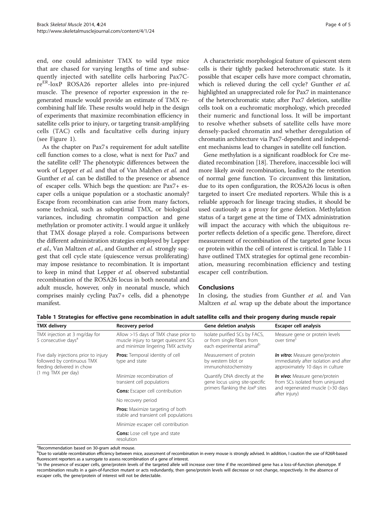end, one could administer TMX to wild type mice that are chased for varying lengths of time and subsequently injected with satellite cells harboring Pax7CreER-loxP ROSA26 reporter alleles into pre-injured muscle. The presence of reporter expression in the regenerated muscle would provide an estimate of TMX recombining half life. These results would help in the design of experiments that maximize recombination efficiency in satellite cells prior to injury, or targeting transit-amplifying cells (TAC) cells and facultative cells during injury (see Figure [1\)](#page-2-0).

As the chapter on Pax7s requirement for adult satellite cell function comes to a close, what is next for Pax7 and the satellite cell? The phenotypic differences between the work of Lepper et al. and that of Van Malzhen et al. and Gunther et al. can be distilled to the presence or absence of escaper cells. Which begs the question: are Pax7+ escaper cells a unique population or a stochastic anomaly? Escape from recombination can arise from many factors, some technical, such as suboptimal TMX, or biological variances, including chromatin compaction and gene methylation or promoter activity. I would argue it unlikely that TMX dosage played a role. Comparisons between the different administration strategies employed by Lepper et al., Van Maltzen et al., and Gunther et al. strongly suggest that cell cycle state (quiescence versus proliferating) may impose resistance to recombination. It is important to keep in mind that Lepper et al. observed substantial recombination of the ROSA26 locus in both neonatal and adult muscle, however, only in neonatal muscle, which comprises mainly cycling Pax7+ cells, did a phenotype manifest.

A characteristic morphological feature of quiescent stem cells is their tightly packed heterochromatic state. Is it possible that escaper cells have more compact chromatin, which is relieved during the cell cycle? Gunther et al. highlighted an unappreciated role for Pax7 in maintenance of the heterochromatic state; after Pax7 deletion, satellite cells took on a euchromatic morphology, which preceded their numeric and functional loss. It will be important to resolve whether subsets of satellite cells have more densely-packed chromatin and whether deregulation of chromatin architecture via Pax7-dependent and independent mechanisms lead to changes in satellite cell function.

Gene methylation is a significant roadblock for Cre mediated recombination [\[18\]](#page-5-0). Therefore, inaccessible loci will more likely avoid recombination, leading to the retention of normal gene function. To circumvent this limitation, due to its open configuration, the ROSA26 locus is often targeted to insert Cre mediated reporters. While this is a reliable approach for lineage tracing studies, it should be used cautiously as a proxy for gene deletion. Methylation status of a target gene at the time of TMX administration will impact the accuracy with which the ubiquitous reporter reflects deletion of a specific gene. Therefore, direct measurement of recombination of the targeted gene locus or protein within the cell of interest is critical. In Table 1 I have outlined TMX strategies for optimal gene recombination, measuring recombination efficiency and testing escaper cell contribution.

#### Conclusions

In closing, the studies from Gunther et al. and Van Maltzen et al. wrap up the debate about the importance

| <b>TMX</b> delivery                                                                                                    | Recovery period                                                                                                      | Gene deletion analysis                                                                                                                                                                                                      | Escaper cell analysis                                                                                       |
|------------------------------------------------------------------------------------------------------------------------|----------------------------------------------------------------------------------------------------------------------|-----------------------------------------------------------------------------------------------------------------------------------------------------------------------------------------------------------------------------|-------------------------------------------------------------------------------------------------------------|
| TMX injection at 3 mg/day for<br>5 consecutive days <sup>a</sup>                                                       | Allow >15 days of TMX chase prior to<br>muscle injury to target quiescent SCs<br>and minimize lingering TMX activity | Isolate purified SCs by FACS,<br>or from single fibers from<br>each experimental animal <sup>b</sup>                                                                                                                        | Measure gene or protein levels<br>over time <sup>c</sup>                                                    |
| Five daily injections prior to injury<br>followed by continuous TMX<br>feeding delivered in chow<br>(1 mg TMX per day) | <b>Pros:</b> Temporal identity of cell<br>type and state                                                             | Measurement of protein<br>by western blot or<br>immunohistochemistry                                                                                                                                                        | In vitro: Measure gene/protein<br>immediately after isolation and after<br>approximately 10 days in culture |
|                                                                                                                        | Minimize recombination of<br>transient cell populations                                                              | Quantify DNA directly at the<br>In vivo: Measure gene/protein<br>gene locus using site-specific<br>from SCs isolated from uninjured<br>primers flanking the loxP sites<br>and regenerated muscle (>30 days<br>after injury) |                                                                                                             |
|                                                                                                                        | <b>Cons:</b> Escaper cell contribution                                                                               |                                                                                                                                                                                                                             |                                                                                                             |
|                                                                                                                        | No recovery period                                                                                                   |                                                                                                                                                                                                                             |                                                                                                             |
|                                                                                                                        | <b>Pros:</b> Maximize targeting of both<br>stable and transient cell populations                                     |                                                                                                                                                                                                                             |                                                                                                             |
|                                                                                                                        | Minimize escaper cell contribution                                                                                   |                                                                                                                                                                                                                             |                                                                                                             |
|                                                                                                                        | <b>Cons:</b> Lose cell type and state<br>resolution                                                                  |                                                                                                                                                                                                                             |                                                                                                             |

Table 1 Strategies for effective gene recombination in adult satellite cells and their progeny during muscle repair

<sup>a</sup>Recommendation based on 30-gram adult mouse.

b<br>Due to variable recombination efficiency between mice, assessment of recombination in every mouse is strongly advised. In addition, I caution the use of R26R-based fluorescent reporters as a surrogate to assess recombination of a gene of interest.

<sup>&</sup>lt;sup>c</sup>In the presence of escaper cells, gene/protein levels of the targeted allele will increase over time if the recombined gene has a loss-of-function phenotype. If recombination results in a gain-of-function mutant or acts redundantly, then gene/protein levels will decrease or not change, respectively. In the absence of escaper cells, the gene/protein of interest will not be detectable.